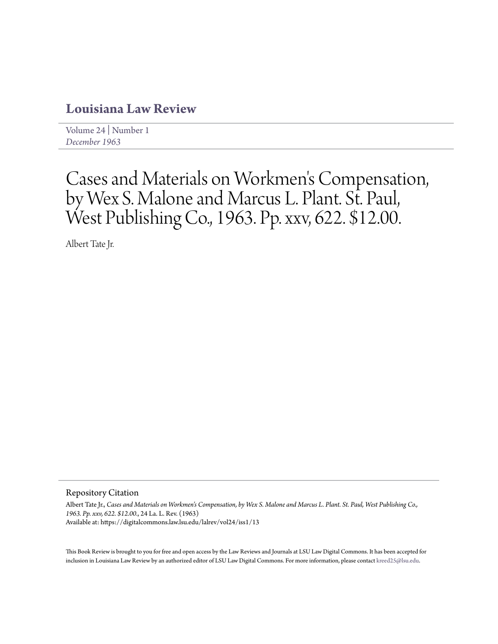## **[Louisiana Law Review](https://digitalcommons.law.lsu.edu/lalrev)**

[Volume 24](https://digitalcommons.law.lsu.edu/lalrev/vol24) | [Number 1](https://digitalcommons.law.lsu.edu/lalrev/vol24/iss1) *[December 1963](https://digitalcommons.law.lsu.edu/lalrev/vol24/iss1)*

## Cases and Materials on Workmen 's Compensation, by Wex S. Malone and Marcus L. Plant. St. Paul, West Publishing Co., 1963. Pp. xxv, 622. \$12.00.

Albert Tate Jr.

Repository Citation

Albert Tate Jr., *Cases and Materials on Workmen's Compensation, by Wex S. Malone and Marcus L. Plant. St. Paul, West Publishing Co., 1963. Pp. xxv, 622. \$12.00.*, 24 La. L. Rev. (1963) Available at: https://digitalcommons.law.lsu.edu/lalrev/vol24/iss1/13

This Book Review is brought to you for free and open access by the Law Reviews and Journals at LSU Law Digital Commons. It has been accepted for inclusion in Louisiana Law Review by an authorized editor of LSU Law Digital Commons. For more information, please contact [kreed25@lsu.edu](mailto:kreed25@lsu.edu).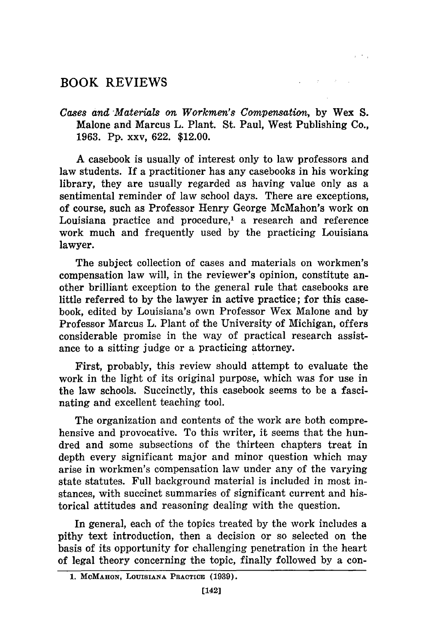## **BOOK REVIEWS**

*Cases and Materials on Workmen's Compensation,* by Wex **S.** Malone and Marcus L. Plant. St. Paul, West Publishing Co., 1963. Pp. xxv, 622. \$12.00.

 $\label{eq:2.1} \mathcal{L}(\mathcal{L}_{\mathcal{A}}) = \mathcal{L}(\mathcal{L}_{\mathcal{A}}) = \mathcal{L}(\mathcal{L}_{\mathcal{A}}) = \mathcal{L}(\mathcal{L}_{\mathcal{A}})$ 

A casebook is usually of interest only to law professors and law students. If a practitioner has any casebooks in his working library, they are usually regarded as having value only as a sentimental reminder of law school days. There are exceptions, of course, such as Professor Henry George McMahon's work on Louisiana practice and procedure,' a research and reference work much and frequently used by the practicing Louisiana lawyer.

The subject collection of cases and materials on workmen's compensation law will, in the reviewer's opinion, constitute another brilliant exception to the general rule that casebooks are little referred to by the lawyer in active practice; for this casebook, edited by Louisiana's own Professor Wex Malone and by Professor Marcus L. Plant of the University of Michigan, offers considerable promise in the way of practical research assistance to a sitting judge or a practicing attorney.

First, probably, this review should attempt to evaluate the work in the light of its original purpose, which was for use in the law schools. Succinctly, this casebook seems to be a fascinating and excellent teaching tool.

The organization and contents of the work are both comprehensive and provocative. To this writer, it seems that the hundred and some subsections of the thirteen chapters treat in depth every significant major and minor question which may arise in workmen's compensation law under any of the varying state statutes. Full background material is included in most instances, with succinct summaries of significant current and historical attitudes and reasoning dealing with the question.

In general, each of the topics treated by the work includes a pithy text introduction, then a decision or so selected on the basis of its opportunity for challenging penetration in the heart of legal theory concerning the topic, finally followed by a con-

**<sup>1.</sup> MCMAHON, LOUISIANA PRACTICE (1939).**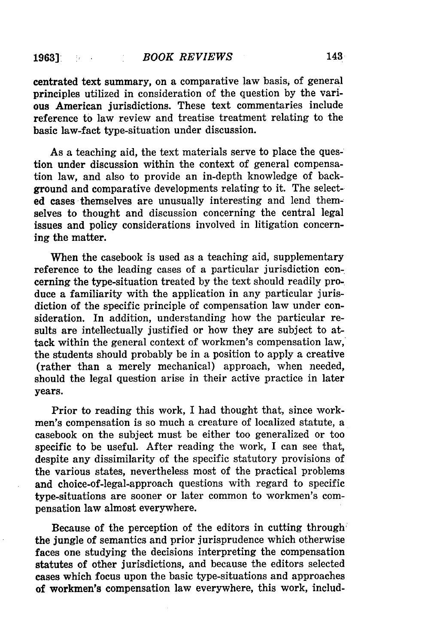centrated text summary, on a comparative law basis, of general principles utilized in consideration of the question by the various American jurisdictions. These text commentaries include reference to law review and treatise treatment relating to the basic law-fact type-situation under discussion.

As a teaching aid, the text materials serve to place the question under discussion within the context of general compensation law, and also to provide an in-depth knowledge of background and comparative developments relating to it. The selected cases themselves are unusually interesting and lend themselves to thought and discussion concerning the central legal issues and policy considerations involved in litigation concerning the matter.

When the casebook is used as a teaching aid, supplementary reference to the leading cases of a particular jurisdiction concerning the type-situation treated by the text should readily produce a familiarity with the application in any particular jurisdiction of the specific principle of compensation law under consideration. In addition, understanding how the particular results are intellectually justified or how they are subject to attack within the general context of workmen's compensation law, ' the students should probably be in a position to apply a creative (rather than a merely mechanical) approach, when needed, should the legal question arise in their active practice in later years.

Prior to reading this work, I had thought that, since workmen's compensation is so much a creature of localized statute, a casebook on the subject must be either too generalized or too specific to be useful. After reading the work, I can see that, despite any dissimilarity of the specific statutory provisions of the various states, nevertheless most of the practical problems and choice-of-legal-approach questions with regard to specific type-situations are sooner or later common to workmen's compensation law almost everywhere.

Because of the perception of the editors in cutting through the jungle of semantics and prior jurisprudence which otherwise faces one studying the decisions interpreting the compensation statutes of other jurisdictions, and because the editors selected cases which focus upon the basic type-situations and approaches of workmen's compensation law everywhere, this work, includ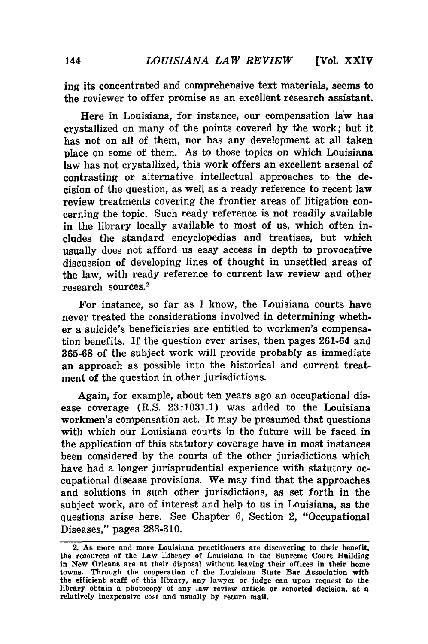ing its concentrated and comprehensive text materials, seems to the reviewer to offer promise as an excellent research assistant.

Here in Louisiana, for instance, our compensation law has crystallized on many of the points covered **by** the work; but it has not on all of them, nor has any development at all taken place on some of them. As to those topics on which Louisiana law has not crystallized, this work offers an excellent arsenal of contrasting or alternative intellectual approaches to the decision of the question, as well as a ready reference to recent law review treatments covering the frontier areas of litigation concerning the topic. Such ready reference is not readily available in the library locally available to most of us, which often includes the standard encyclopedias and treatises, but which usually does not afford us easy access in depth to provocative discussion of developing lines of thought in unsettled areas **of** the law, with ready reference to current law review and other research sources. <sup>2</sup>

For instance, so far as I know, the Louisiana courts have never treated the considerations involved in determining whether a suicide's beneficiaries are entitled to workmen's compensation benefits. If the question ever arises, then pages 261-64 and **365-68** of the subject work will provide probably as immediate an approach as possible into the historical and current treatment of the question in other jurisdictions.

Again, for example, about ten years ago an occupational disease coverage (R.S. **23:1031.1)** was added to the Louisiana workmen's compensation act. It may be presumed that questions with which our Louisiana courts in the future will be faced in the application of this statutory coverage have in most instances been considered **by** the courts of the other jurisdictions which have had a longer jurisprudential experience with statutory occupational disease provisions. We may find that the approaches and solutions in such other jurisdictions, as set forth in the subject work, are of interest and help to us in Louisiana, as the questions arise here. See Chapter **6,** Section 2, "Occupational Diseases," pages **283-310.**

<sup>2.</sup> **As** more and more Louisiana practitioners are discovering to their benefit, the resources of the Law Library of Louisiana in the Supreme Court Building in New Orleans are at their disposal without leaving their offices in their home towns. Through the cooperation of the Louisiana State Bar Association with the efficient staff of this library, any lawyer or judge can upon request to the library obtain a photocopy of any law review article or reported decision, at a relatively inexpensive cost and usually **by** return mail.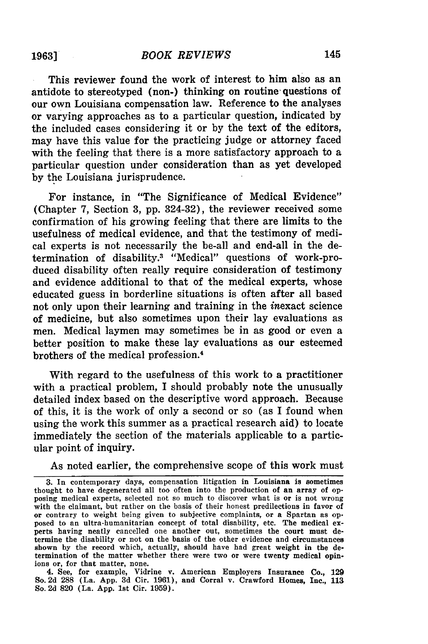This reviewer found the work of interest to him also as an antidote to stereotyped (non-) thinking on routine questions of our own Louisiana compensation law. Reference to the analyses or varying approaches as to a particular question, indicated **by** the included cases considering it or **by** the text of the editors, may have this value for the practicing judge or attorney faced with the feeling that there is a more satisfactory approach to a particular question under consideration than as yet developed **by** the Louisiana jurisprudence.

For instance, in "The Significance of Medical Evidence" (Chapter **7,** Section **3, pp.** 324-32), the reviewer received some confirmation of his growing feeling that there are limits to the usefulness of medical evidence, and that the testimony of medical experts is not necessarily the be-all and end-all in the determination of disability.3 "Medical" questions of work-produced disability often really require consideration of testimony and evidence additional to that of the medical experts, whose educated guess in borderline situations is often after all based not only upon their learning and training in the inexact science of medicine, but also sometimes upon their lay evaluations as men. Medical laymen may sometimes be in as good or even a better position to make these lay evaluations as our esteemed brothers of the medical profession. <sup>4</sup>

With regard to the usefulness of this work to a practitioner with a practical problem, I should probably note the unusually detailed index based on the descriptive word approach. Because of this, it is the work of only a second or so (as I found when using the work this summer as a practical research aid) to locate immediately the section of the materials applicable to a particular point of inquiry.

As noted earlier, the comprehensive scope of this work must

4. See, for example, Vidrine v. American Employers Insurance Co., 129 So. 2d 288 (La. App. 3d Cir. 1961), and Corral v. Crawford Homes, Inc., 113 So. 2d 820 (La. App. 1st Cir. 1959).

**<sup>3.</sup>** In contemporary days, compensation litigation in Louisiana is sometimes thought to have degenerated all too often into the production of an array of opposing medical experts, selected not so much to discover what is or is not wrong with the claimant, but rather on the basis of their honest predilections in favor of or contrary to weight being given to subjective complaints, or a Spartan as opposed to an ultra-humanitarian concept of total disability, etc. The medical experts having neatly cancelled one another out, sometimes the court must determine the disability or not on the basis of the other evidence and circumstances shown by the record which, actually, should have had great weight in the determination of the matter whether there were two or were twenty medical opinions or, for that matter, none.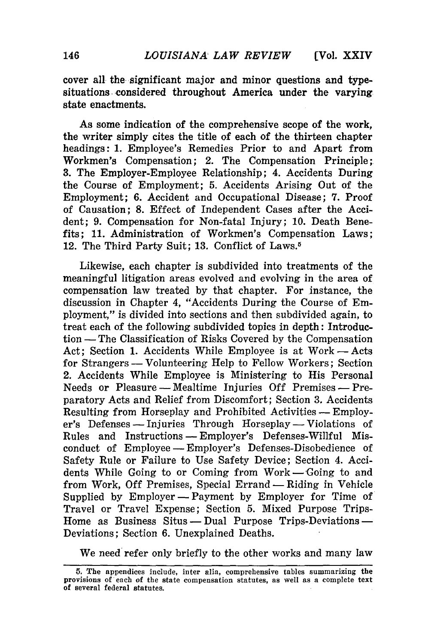cover all the significant major and minor questions and typesituations. considered throughout America under the varying state enactments.

As some indication of the comprehensive scope of the work, the writer simply cites the title of each of the thirteen chapter headings: **1.** Employee's Remedies Prior to and Apart from Workmen's Compensation; 2. The Compensation Principle; **3.** The Employer-Employee Relationship; 4. Accidents During the Course of Employment; **5.** Accidents Arising Out of the Employment; **6.** Accident and Occupational Disease; **7.** Proof of Causation; **8.** Effect of Independent Cases after the Accident; **9.** Compensation for Non-fatal Injury; **10.** Death Benefits; **11.** Administration of Workmen's Compensation Laws; 12. The Third Party Suit; **13.** Conflict of Laws."

Likewise, each chapter is subdivided into treatments of the meaningful litigation areas evolved and evolving in the area of compensation law treated **by** that chapter. For instance, the discussion in Chapter 4, "Accidents During the Course of Employment," is divided into sections and then subdivided again, to treat each of the following subdivided topics in depth: Introduction - The Classification of Risks Covered **by** the Compensation Act; Section 1. Accidents While Employee is at Work – Acts for Strangers **-** Volunteering Help to Fellow Workers; Section 2. Accidents While Employee is Ministering to His Personal Needs or Pleasure – Mealtime Injuries Off Premises – Preparatory Acts and Relief from Discomfort; Section **3.** Accidents Resulting from Horseplay and Prohibited Activities -- Employer's Defenses -- Injuries Through Horseplay -- Violations of Rules and Instructions -- Employer's Defenses-Willful Misconduct of Employee -- Employer's Defenses-Disobedience of Safety Rule or Failure to Use Safety Device; Section 4. Accidents While Going to or Coming from  $Work—Going to and$ from Work, **Off** Premises, Special Errand **-** Riding in Vehicle Supplied **by** Employer - Payment **by** Employer for Time of Travel or Travel Expense; Section **5.** Mixed Purpose Trips-Home as Business Situs **-** Dual Purpose Trips-Deviations **-** Deviations; Section **6.** Unexplained Deaths.

We need refer only briefly to the other works and many law

**<sup>5.</sup>** The appendices include, inter alia, comprehensive tables summarizing the provisions of each of the state compensation statutes, as well as a complete text of several federal statutes.